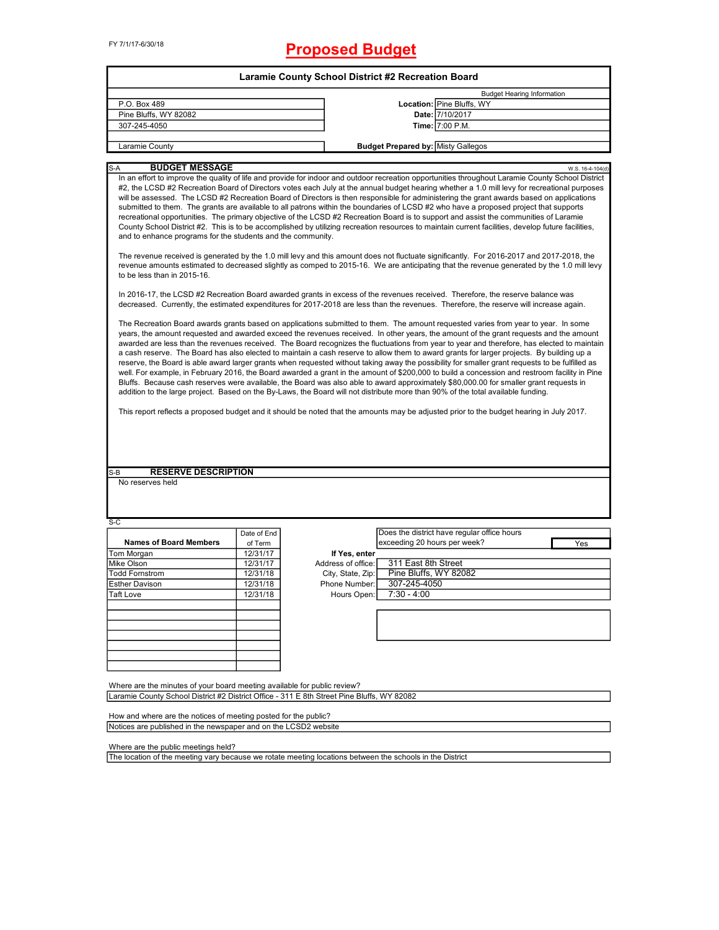|                                                                                                                                                                                                                                                                                                                                                                                                                                                                                                                                                                                                                                                                                                                                                                                                                                                                                                                                                                                                                                                                                                                                                                                                                                                                                                                                                                                                                                                                                                                                                                                                                                                                                                                                                                                                                                                                                                                                                                                                                                                                                                                                                                                                                                                                                                                                                                                                                                                                                                                                                                                                                                                                                                                                                                                                                                                                                                                             | Laramie County School District #2 Recreation Board |                                                                                                          |                                   |  |  |  |  |
|-----------------------------------------------------------------------------------------------------------------------------------------------------------------------------------------------------------------------------------------------------------------------------------------------------------------------------------------------------------------------------------------------------------------------------------------------------------------------------------------------------------------------------------------------------------------------------------------------------------------------------------------------------------------------------------------------------------------------------------------------------------------------------------------------------------------------------------------------------------------------------------------------------------------------------------------------------------------------------------------------------------------------------------------------------------------------------------------------------------------------------------------------------------------------------------------------------------------------------------------------------------------------------------------------------------------------------------------------------------------------------------------------------------------------------------------------------------------------------------------------------------------------------------------------------------------------------------------------------------------------------------------------------------------------------------------------------------------------------------------------------------------------------------------------------------------------------------------------------------------------------------------------------------------------------------------------------------------------------------------------------------------------------------------------------------------------------------------------------------------------------------------------------------------------------------------------------------------------------------------------------------------------------------------------------------------------------------------------------------------------------------------------------------------------------------------------------------------------------------------------------------------------------------------------------------------------------------------------------------------------------------------------------------------------------------------------------------------------------------------------------------------------------------------------------------------------------------------------------------------------------------------------------------------------------|----------------------------------------------------|----------------------------------------------------------------------------------------------------------|-----------------------------------|--|--|--|--|
|                                                                                                                                                                                                                                                                                                                                                                                                                                                                                                                                                                                                                                                                                                                                                                                                                                                                                                                                                                                                                                                                                                                                                                                                                                                                                                                                                                                                                                                                                                                                                                                                                                                                                                                                                                                                                                                                                                                                                                                                                                                                                                                                                                                                                                                                                                                                                                                                                                                                                                                                                                                                                                                                                                                                                                                                                                                                                                                             |                                                    |                                                                                                          | <b>Budget Hearing Information</b> |  |  |  |  |
| P.O. Box 489                                                                                                                                                                                                                                                                                                                                                                                                                                                                                                                                                                                                                                                                                                                                                                                                                                                                                                                                                                                                                                                                                                                                                                                                                                                                                                                                                                                                                                                                                                                                                                                                                                                                                                                                                                                                                                                                                                                                                                                                                                                                                                                                                                                                                                                                                                                                                                                                                                                                                                                                                                                                                                                                                                                                                                                                                                                                                                                |                                                    | Location: Pine Bluffs, WY                                                                                |                                   |  |  |  |  |
| Pine Bluffs, WY 82082                                                                                                                                                                                                                                                                                                                                                                                                                                                                                                                                                                                                                                                                                                                                                                                                                                                                                                                                                                                                                                                                                                                                                                                                                                                                                                                                                                                                                                                                                                                                                                                                                                                                                                                                                                                                                                                                                                                                                                                                                                                                                                                                                                                                                                                                                                                                                                                                                                                                                                                                                                                                                                                                                                                                                                                                                                                                                                       |                                                    | Date: 7/10/2017                                                                                          |                                   |  |  |  |  |
| 307-245-4050                                                                                                                                                                                                                                                                                                                                                                                                                                                                                                                                                                                                                                                                                                                                                                                                                                                                                                                                                                                                                                                                                                                                                                                                                                                                                                                                                                                                                                                                                                                                                                                                                                                                                                                                                                                                                                                                                                                                                                                                                                                                                                                                                                                                                                                                                                                                                                                                                                                                                                                                                                                                                                                                                                                                                                                                                                                                                                                |                                                    | Time: 7:00 P.M.                                                                                          |                                   |  |  |  |  |
|                                                                                                                                                                                                                                                                                                                                                                                                                                                                                                                                                                                                                                                                                                                                                                                                                                                                                                                                                                                                                                                                                                                                                                                                                                                                                                                                                                                                                                                                                                                                                                                                                                                                                                                                                                                                                                                                                                                                                                                                                                                                                                                                                                                                                                                                                                                                                                                                                                                                                                                                                                                                                                                                                                                                                                                                                                                                                                                             |                                                    |                                                                                                          |                                   |  |  |  |  |
| Laramie County                                                                                                                                                                                                                                                                                                                                                                                                                                                                                                                                                                                                                                                                                                                                                                                                                                                                                                                                                                                                                                                                                                                                                                                                                                                                                                                                                                                                                                                                                                                                                                                                                                                                                                                                                                                                                                                                                                                                                                                                                                                                                                                                                                                                                                                                                                                                                                                                                                                                                                                                                                                                                                                                                                                                                                                                                                                                                                              |                                                    | <b>Budget Prepared by: Misty Gallegos</b>                                                                |                                   |  |  |  |  |
| <b>BUDGET MESSAGE</b><br>S-A                                                                                                                                                                                                                                                                                                                                                                                                                                                                                                                                                                                                                                                                                                                                                                                                                                                                                                                                                                                                                                                                                                                                                                                                                                                                                                                                                                                                                                                                                                                                                                                                                                                                                                                                                                                                                                                                                                                                                                                                                                                                                                                                                                                                                                                                                                                                                                                                                                                                                                                                                                                                                                                                                                                                                                                                                                                                                                |                                                    |                                                                                                          | W.S. 16-4-104(d)                  |  |  |  |  |
| In an effort to improve the quality of life and provide for indoor and outdoor recreation opportunities throughout Laramie County School District<br>#2, the LCSD #2 Recreation Board of Directors votes each July at the annual budget hearing whether a 1.0 mill levy for recreational purposes<br>will be assessed. The LCSD #2 Recreation Board of Directors is then responsible for administering the grant awards based on applications<br>submitted to them. The grants are available to all patrons within the boundaries of LCSD #2 who have a proposed project that supports<br>recreational opportunities. The primary objective of the LCSD #2 Recreation Board is to support and assist the communities of Laramie<br>County School District #2. This is to be accomplished by utilizing recreation resources to maintain current facilities, develop future facilities,<br>and to enhance programs for the students and the community.<br>The revenue received is generated by the 1.0 mill levy and this amount does not fluctuate significantly. For 2016-2017 and 2017-2018, the<br>revenue amounts estimated to decreased slightly as comped to 2015-16. We are anticipating that the revenue generated by the 1.0 mill levy<br>to be less than in 2015-16.<br>In 2016-17, the LCSD #2 Recreation Board awarded grants in excess of the revenues received. Therefore, the reserve balance was<br>decreased. Currently, the estimated expenditures for 2017-2018 are less than the revenues. Therefore, the reserve will increase again.<br>The Recreation Board awards grants based on applications submitted to them. The amount requested varies from year to year. In some<br>years, the amount requested and awarded exceed the revenues received. In other years, the amount of the grant requests and the amount<br>awarded are less than the revenues received. The Board recognizes the fluctuations from year to year and therefore, has elected to maintain<br>a cash reserve. The Board has also elected to maintain a cash reserve to allow them to award grants for larger projects. By building up a<br>reserve, the Board is able award larger grants when requested without taking away the possibility for smaller grant requests to be fulfilled as<br>well. For example, in February 2016, the Board awarded a grant in the amount of \$200,000 to build a concession and restroom facility in Pine<br>Bluffs. Because cash reserves were available, the Board was also able to award approximately \$80,000.00 for smaller grant requests in<br>addition to the large project. Based on the By-Laws, the Board will not distribute more than 90% of the total available funding.<br>This report reflects a proposed budget and it should be noted that the amounts may be adjusted prior to the budget hearing in July 2017.<br><b>RESERVE DESCRIPTION</b><br>S-B<br>No reserves held |                                                    |                                                                                                          |                                   |  |  |  |  |
| $S-C$                                                                                                                                                                                                                                                                                                                                                                                                                                                                                                                                                                                                                                                                                                                                                                                                                                                                                                                                                                                                                                                                                                                                                                                                                                                                                                                                                                                                                                                                                                                                                                                                                                                                                                                                                                                                                                                                                                                                                                                                                                                                                                                                                                                                                                                                                                                                                                                                                                                                                                                                                                                                                                                                                                                                                                                                                                                                                                                       |                                                    |                                                                                                          |                                   |  |  |  |  |
|                                                                                                                                                                                                                                                                                                                                                                                                                                                                                                                                                                                                                                                                                                                                                                                                                                                                                                                                                                                                                                                                                                                                                                                                                                                                                                                                                                                                                                                                                                                                                                                                                                                                                                                                                                                                                                                                                                                                                                                                                                                                                                                                                                                                                                                                                                                                                                                                                                                                                                                                                                                                                                                                                                                                                                                                                                                                                                                             | Date of End                                        | Does the district have regular office hours                                                              |                                   |  |  |  |  |
| <b>Names of Board Members</b>                                                                                                                                                                                                                                                                                                                                                                                                                                                                                                                                                                                                                                                                                                                                                                                                                                                                                                                                                                                                                                                                                                                                                                                                                                                                                                                                                                                                                                                                                                                                                                                                                                                                                                                                                                                                                                                                                                                                                                                                                                                                                                                                                                                                                                                                                                                                                                                                                                                                                                                                                                                                                                                                                                                                                                                                                                                                                               | of Term                                            | exceeding 20 hours per week?                                                                             | Yes                               |  |  |  |  |
| Tom Morgan                                                                                                                                                                                                                                                                                                                                                                                                                                                                                                                                                                                                                                                                                                                                                                                                                                                                                                                                                                                                                                                                                                                                                                                                                                                                                                                                                                                                                                                                                                                                                                                                                                                                                                                                                                                                                                                                                                                                                                                                                                                                                                                                                                                                                                                                                                                                                                                                                                                                                                                                                                                                                                                                                                                                                                                                                                                                                                                  | 12/31/17                                           | If Yes, enter                                                                                            |                                   |  |  |  |  |
| Mike Olson                                                                                                                                                                                                                                                                                                                                                                                                                                                                                                                                                                                                                                                                                                                                                                                                                                                                                                                                                                                                                                                                                                                                                                                                                                                                                                                                                                                                                                                                                                                                                                                                                                                                                                                                                                                                                                                                                                                                                                                                                                                                                                                                                                                                                                                                                                                                                                                                                                                                                                                                                                                                                                                                                                                                                                                                                                                                                                                  | 12/31/17                                           | Address of office:<br>311 East 8th Street                                                                |                                   |  |  |  |  |
| <b>Todd Fornstrom</b>                                                                                                                                                                                                                                                                                                                                                                                                                                                                                                                                                                                                                                                                                                                                                                                                                                                                                                                                                                                                                                                                                                                                                                                                                                                                                                                                                                                                                                                                                                                                                                                                                                                                                                                                                                                                                                                                                                                                                                                                                                                                                                                                                                                                                                                                                                                                                                                                                                                                                                                                                                                                                                                                                                                                                                                                                                                                                                       | 12/31/18                                           | Pine Bluffs, WY 82082<br>City, State, Zip:                                                               |                                   |  |  |  |  |
| <b>Esther Davison</b>                                                                                                                                                                                                                                                                                                                                                                                                                                                                                                                                                                                                                                                                                                                                                                                                                                                                                                                                                                                                                                                                                                                                                                                                                                                                                                                                                                                                                                                                                                                                                                                                                                                                                                                                                                                                                                                                                                                                                                                                                                                                                                                                                                                                                                                                                                                                                                                                                                                                                                                                                                                                                                                                                                                                                                                                                                                                                                       | 12/31/18                                           | 307-245-4050<br>Phone Number:                                                                            |                                   |  |  |  |  |
| <b>Taft Love</b>                                                                                                                                                                                                                                                                                                                                                                                                                                                                                                                                                                                                                                                                                                                                                                                                                                                                                                                                                                                                                                                                                                                                                                                                                                                                                                                                                                                                                                                                                                                                                                                                                                                                                                                                                                                                                                                                                                                                                                                                                                                                                                                                                                                                                                                                                                                                                                                                                                                                                                                                                                                                                                                                                                                                                                                                                                                                                                            | 12/31/18                                           | 7:30 - 4:00<br>Hours Open:                                                                               |                                   |  |  |  |  |
|                                                                                                                                                                                                                                                                                                                                                                                                                                                                                                                                                                                                                                                                                                                                                                                                                                                                                                                                                                                                                                                                                                                                                                                                                                                                                                                                                                                                                                                                                                                                                                                                                                                                                                                                                                                                                                                                                                                                                                                                                                                                                                                                                                                                                                                                                                                                                                                                                                                                                                                                                                                                                                                                                                                                                                                                                                                                                                                             |                                                    |                                                                                                          |                                   |  |  |  |  |
|                                                                                                                                                                                                                                                                                                                                                                                                                                                                                                                                                                                                                                                                                                                                                                                                                                                                                                                                                                                                                                                                                                                                                                                                                                                                                                                                                                                                                                                                                                                                                                                                                                                                                                                                                                                                                                                                                                                                                                                                                                                                                                                                                                                                                                                                                                                                                                                                                                                                                                                                                                                                                                                                                                                                                                                                                                                                                                                             |                                                    |                                                                                                          |                                   |  |  |  |  |
|                                                                                                                                                                                                                                                                                                                                                                                                                                                                                                                                                                                                                                                                                                                                                                                                                                                                                                                                                                                                                                                                                                                                                                                                                                                                                                                                                                                                                                                                                                                                                                                                                                                                                                                                                                                                                                                                                                                                                                                                                                                                                                                                                                                                                                                                                                                                                                                                                                                                                                                                                                                                                                                                                                                                                                                                                                                                                                                             |                                                    |                                                                                                          |                                   |  |  |  |  |
|                                                                                                                                                                                                                                                                                                                                                                                                                                                                                                                                                                                                                                                                                                                                                                                                                                                                                                                                                                                                                                                                                                                                                                                                                                                                                                                                                                                                                                                                                                                                                                                                                                                                                                                                                                                                                                                                                                                                                                                                                                                                                                                                                                                                                                                                                                                                                                                                                                                                                                                                                                                                                                                                                                                                                                                                                                                                                                                             |                                                    |                                                                                                          |                                   |  |  |  |  |
|                                                                                                                                                                                                                                                                                                                                                                                                                                                                                                                                                                                                                                                                                                                                                                                                                                                                                                                                                                                                                                                                                                                                                                                                                                                                                                                                                                                                                                                                                                                                                                                                                                                                                                                                                                                                                                                                                                                                                                                                                                                                                                                                                                                                                                                                                                                                                                                                                                                                                                                                                                                                                                                                                                                                                                                                                                                                                                                             |                                                    |                                                                                                          |                                   |  |  |  |  |
|                                                                                                                                                                                                                                                                                                                                                                                                                                                                                                                                                                                                                                                                                                                                                                                                                                                                                                                                                                                                                                                                                                                                                                                                                                                                                                                                                                                                                                                                                                                                                                                                                                                                                                                                                                                                                                                                                                                                                                                                                                                                                                                                                                                                                                                                                                                                                                                                                                                                                                                                                                                                                                                                                                                                                                                                                                                                                                                             |                                                    |                                                                                                          |                                   |  |  |  |  |
| Where are the minutes of your board meeting available for public review?                                                                                                                                                                                                                                                                                                                                                                                                                                                                                                                                                                                                                                                                                                                                                                                                                                                                                                                                                                                                                                                                                                                                                                                                                                                                                                                                                                                                                                                                                                                                                                                                                                                                                                                                                                                                                                                                                                                                                                                                                                                                                                                                                                                                                                                                                                                                                                                                                                                                                                                                                                                                                                                                                                                                                                                                                                                    |                                                    |                                                                                                          |                                   |  |  |  |  |
| Laramie County School District #2 District Office - 311 E 8th Street Pine Bluffs, WY 82082                                                                                                                                                                                                                                                                                                                                                                                                                                                                                                                                                                                                                                                                                                                                                                                                                                                                                                                                                                                                                                                                                                                                                                                                                                                                                                                                                                                                                                                                                                                                                                                                                                                                                                                                                                                                                                                                                                                                                                                                                                                                                                                                                                                                                                                                                                                                                                                                                                                                                                                                                                                                                                                                                                                                                                                                                                  |                                                    |                                                                                                          |                                   |  |  |  |  |
|                                                                                                                                                                                                                                                                                                                                                                                                                                                                                                                                                                                                                                                                                                                                                                                                                                                                                                                                                                                                                                                                                                                                                                                                                                                                                                                                                                                                                                                                                                                                                                                                                                                                                                                                                                                                                                                                                                                                                                                                                                                                                                                                                                                                                                                                                                                                                                                                                                                                                                                                                                                                                                                                                                                                                                                                                                                                                                                             |                                                    |                                                                                                          |                                   |  |  |  |  |
| How and where are the notices of meeting posted for the public?                                                                                                                                                                                                                                                                                                                                                                                                                                                                                                                                                                                                                                                                                                                                                                                                                                                                                                                                                                                                                                                                                                                                                                                                                                                                                                                                                                                                                                                                                                                                                                                                                                                                                                                                                                                                                                                                                                                                                                                                                                                                                                                                                                                                                                                                                                                                                                                                                                                                                                                                                                                                                                                                                                                                                                                                                                                             |                                                    |                                                                                                          |                                   |  |  |  |  |
| Notices are published in the newspaper and on the LCSD2 website                                                                                                                                                                                                                                                                                                                                                                                                                                                                                                                                                                                                                                                                                                                                                                                                                                                                                                                                                                                                                                                                                                                                                                                                                                                                                                                                                                                                                                                                                                                                                                                                                                                                                                                                                                                                                                                                                                                                                                                                                                                                                                                                                                                                                                                                                                                                                                                                                                                                                                                                                                                                                                                                                                                                                                                                                                                             |                                                    |                                                                                                          |                                   |  |  |  |  |
| Where are the public meetings held?                                                                                                                                                                                                                                                                                                                                                                                                                                                                                                                                                                                                                                                                                                                                                                                                                                                                                                                                                                                                                                                                                                                                                                                                                                                                                                                                                                                                                                                                                                                                                                                                                                                                                                                                                                                                                                                                                                                                                                                                                                                                                                                                                                                                                                                                                                                                                                                                                                                                                                                                                                                                                                                                                                                                                                                                                                                                                         |                                                    |                                                                                                          |                                   |  |  |  |  |
|                                                                                                                                                                                                                                                                                                                                                                                                                                                                                                                                                                                                                                                                                                                                                                                                                                                                                                                                                                                                                                                                                                                                                                                                                                                                                                                                                                                                                                                                                                                                                                                                                                                                                                                                                                                                                                                                                                                                                                                                                                                                                                                                                                                                                                                                                                                                                                                                                                                                                                                                                                                                                                                                                                                                                                                                                                                                                                                             |                                                    | The location of the meeting vary because we rotate meeting locations between the schools in the District |                                   |  |  |  |  |

The location of the meeting vary because we rotate meeting locations between the schools in the District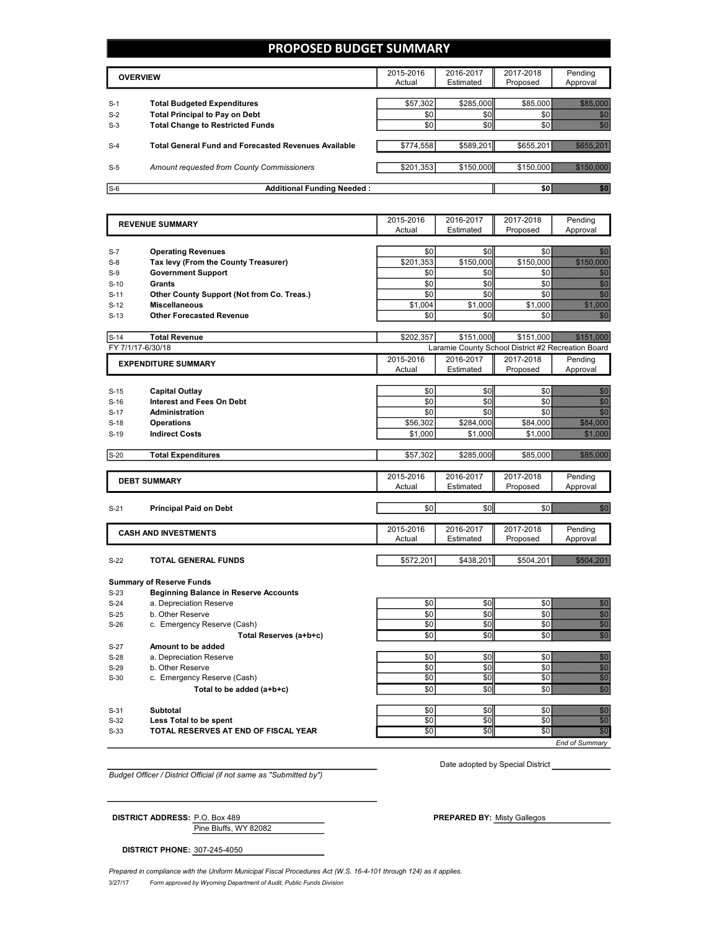### **PROPOSED BUDGET SUMMARY**

|       | <b>OVERVIEW</b>                                             | 2015-2016<br>Actual | 2016-2017<br>Estimated | 2017-2018<br>Proposed | Pending<br>Approval |
|-------|-------------------------------------------------------------|---------------------|------------------------|-----------------------|---------------------|
| $S-1$ | <b>Total Budgeted Expenditures</b>                          | \$57.302            | \$285,000              | \$85,000              |                     |
| $S-2$ | <b>Total Principal to Pay on Debt</b>                       | \$0                 | \$0                    |                       |                     |
| $S-3$ | <b>Total Change to Restricted Funds</b>                     | \$0                 | \$0                    |                       |                     |
|       |                                                             |                     |                        |                       |                     |
| $S-4$ | <b>Total General Fund and Forecasted Revenues Available</b> | \$774,558           | \$589,201              | \$655,201             |                     |
|       |                                                             |                     |                        |                       |                     |
| $S-5$ | Amount requested from County Commissioners                  | \$201.353           | \$150,000              |                       | \$150,000           |
|       |                                                             |                     |                        |                       |                     |
| $S-6$ | <b>Additional Funding Needed:</b>                           |                     |                        |                       |                     |

|                            | <b>REVENUE SUMMARY</b>                                            | 2015-2016        | 2016-2017        | 2017-2018                                          | Pending                                                                                                                                                                                                                              |
|----------------------------|-------------------------------------------------------------------|------------------|------------------|----------------------------------------------------|--------------------------------------------------------------------------------------------------------------------------------------------------------------------------------------------------------------------------------------|
|                            |                                                                   | Actual           | Estimated        | Proposed                                           | Approval                                                                                                                                                                                                                             |
|                            |                                                                   |                  |                  |                                                    |                                                                                                                                                                                                                                      |
| $S-7$                      | <b>Operating Revenues</b>                                         | \$0<br>\$201.353 | \$0<br>\$150,000 | \$0                                                | en eller<br>Stadt Stadt Stadt Stadt Stadt Stadt Stadt Stadt Stadt Stadt Stadt Stadt Stadt Stadt Stadt Stadt Stadt Stadt S<br><u>SASTANIO</u>                                                                                         |
| $S-8$<br>$S-9$             | Tax levy (From the County Treasurer)<br><b>Government Support</b> | \$0              | \$0              | \$150,000<br>\$0                                   | en de la filosofia<br>Altres de la filosofia                                                                                                                                                                                         |
| $S-10$                     | <b>Grants</b>                                                     | \$0              | \$0              | \$0                                                | enne<br>Bald                                                                                                                                                                                                                         |
| $S-11$                     | Other County Support (Not from Co. Treas.)                        | \$0              | \$0              | \$0                                                | enne<br>Bald                                                                                                                                                                                                                         |
| $S-12$                     | <b>Miscellaneous</b>                                              | \$1,004          | \$1,000          | \$1,000                                            |                                                                                                                                                                                                                                      |
| $S-13$                     | <b>Other Forecasted Revenue</b>                                   | \$0              | \$0              | \$0                                                | <u>tik k</u>                                                                                                                                                                                                                         |
|                            |                                                                   |                  |                  |                                                    |                                                                                                                                                                                                                                      |
| $S-14$                     | <b>Total Revenue</b>                                              | \$202,357        | \$151,000        | \$151,000                                          |                                                                                                                                                                                                                                      |
|                            | FY 7/1/17-6/30/18                                                 |                  |                  | Laramie County School District #2 Recreation Board |                                                                                                                                                                                                                                      |
| <b>EXPENDITURE SUMMARY</b> |                                                                   | 2015-2016        | 2016-2017        | 2017-2018                                          | Pending                                                                                                                                                                                                                              |
|                            |                                                                   | Actual           | Estimated        | Proposed                                           | Approval                                                                                                                                                                                                                             |
| $S-15$                     | <b>Capital Outlay</b>                                             | \$0              | \$0              | \$0                                                | en de la famílie de la famílie de la famílie de la famílie de la famílie de la famílie de la famílie de la fam<br>En década de la famílie de la famílie de la famílie de la famílie de la famílie de la famílie de la famílie de     |
| $S-16$                     | <b>Interest and Fees On Debt</b>                                  | \$0              | \$0              | \$0                                                | en de la f                                                                                                                                                                                                                           |
| $S-17$                     | <b>Administration</b>                                             | \$0              | \$0              | \$0                                                | en die gewone<br>Verlagten                                                                                                                                                                                                           |
| $S-18$                     | <b>Operations</b>                                                 | \$56,302         | \$284,000        | \$84,000                                           | <b>RAMA STATISTICS</b>                                                                                                                                                                                                               |
| $S-19$                     | <b>Indirect Costs</b>                                             | \$1,000          | \$1,000          | \$1,000                                            | <b>1979 - 1989 - 1989</b>                                                                                                                                                                                                            |
|                            |                                                                   |                  |                  |                                                    |                                                                                                                                                                                                                                      |
| $S-20$                     | <b>Total Expenditures</b>                                         | \$57,302         | \$285,000        | \$85,000                                           | 756 766 76                                                                                                                                                                                                                           |
|                            |                                                                   |                  |                  |                                                    |                                                                                                                                                                                                                                      |
|                            | <b>DEBT SUMMARY</b>                                               | 2015-2016        | 2016-2017        | 2017-2018                                          | Pending                                                                                                                                                                                                                              |
|                            |                                                                   | Actual           | Estimated        | Proposed                                           | Approval                                                                                                                                                                                                                             |
| $S-21$                     | <b>Principal Paid on Debt</b>                                     | \$0              | \$0              | \$0                                                | <u> Kabupatèn Timur Pada Barat Barat Barat Barat Barat Barat Barat Barat Barat Barat Barat Barat Barat Barat Bara</u>                                                                                                                |
|                            |                                                                   |                  |                  |                                                    |                                                                                                                                                                                                                                      |
|                            | <b>CASH AND INVESTMENTS</b>                                       | 2015-2016        | 2016-2017        | 2017-2018                                          | Pending                                                                                                                                                                                                                              |
|                            |                                                                   | Actual           | Estimated        | Proposed                                           | Approval                                                                                                                                                                                                                             |
| $S-22$                     | <b>TOTAL GENERAL FUNDS</b>                                        | \$572,201        | \$438,201        | \$504,201                                          | <u> Kabupatèn Bandaran Indonesia Bandaran Indonesia Bandaran Indonesia Bandaran Indonesia Bandaran Indonesia Ba</u>                                                                                                                  |
|                            |                                                                   |                  |                  |                                                    |                                                                                                                                                                                                                                      |
|                            | <b>Summary of Reserve Funds</b>                                   |                  |                  |                                                    |                                                                                                                                                                                                                                      |
| $S-23$                     | <b>Beginning Balance in Reserve Accounts</b>                      |                  |                  |                                                    |                                                                                                                                                                                                                                      |
| $S-24$                     | a. Depreciation Reserve                                           | \$0              | \$0              | \$0                                                | en de la familie de la familie de la familie de la familie de la familie de la familie de la familie de la fa<br>Concelho de la familie de la familie de la familie de la familie de la familie de la familie de la familie de       |
| $S-25$                     | b. Other Reserve                                                  | \$0              | \$0              | \$0                                                | e de la composición de la composición de la composición de la composición de la composición de la composición<br>Composición de la composición de la composición de la composición de la composición de la composición de la co<br>C |
| $S-26$                     | c. Emergency Reserve (Cash)                                       | \$0              | \$0              | \$0                                                |                                                                                                                                                                                                                                      |
|                            | Total Reserves (a+b+c)                                            | \$0              | \$0              | \$0                                                | en en de la familie de la familie de la familie de la familie de la familie de la familie de la familie de la<br>Constitution de la familie de la familie de la familie de la familie de la familie de la familie de la familie      |
| $S-27$                     | Amount to be added                                                |                  |                  |                                                    |                                                                                                                                                                                                                                      |
| $S-28$                     | a. Depreciation Reserve                                           | \$0              | \$0              | \$0                                                | en de la filosofia<br>Balderia                                                                                                                                                                                                       |
| $S-29$                     | b. Other Reserve                                                  | \$0              | \$0              | \$0                                                | en de la filosofia<br>Establecidades                                                                                                                                                                                                 |
| $S-30$                     | c. Emergency Reserve (Cash)                                       | \$0              | \$0              | \$0                                                | en de la filosofia<br>Altres de la filòlogía                                                                                                                                                                                         |
|                            | Total to be added (a+b+c)                                         | \$0              | \$0              | \$0                                                | ennen<br>Välislän                                                                                                                                                                                                                    |
| $S-31$                     | <b>Subtotal</b>                                                   | \$0              | \$0              | \$0                                                | gang<br>Mala                                                                                                                                                                                                                         |
| $S-32$                     | Less Total to be spent                                            | \$0              | \$0              | \$0                                                | anna<br>Thaill                                                                                                                                                                                                                       |
| $S-33$                     | TOTAL RESERVES AT END OF FISCAL YEAR                              | \$0              | \$0              | \$0                                                | en el control.<br>Control                                                                                                                                                                                                            |
|                            |                                                                   |                  |                  |                                                    |                                                                                                                                                                                                                                      |

*End of Summary*

*Budget Officer / District Official (if not same as "Submitted by")*

Pine Bluffs, WY 82082

Date adopted by Special District

**DISTRICT ADDRESS:** P.O. Box 489 **PREPARED BY:** Misty Gallegos

**DISTRICT PHONE:** 307-245-4050

3/27/17 *Form approved by Wyoming Department of Audit, Public Funds Division* Prepared in compliance with the Uniform Municipal Fiscal Procedures Act (W.S. 16-4-101 through 124) as it applies.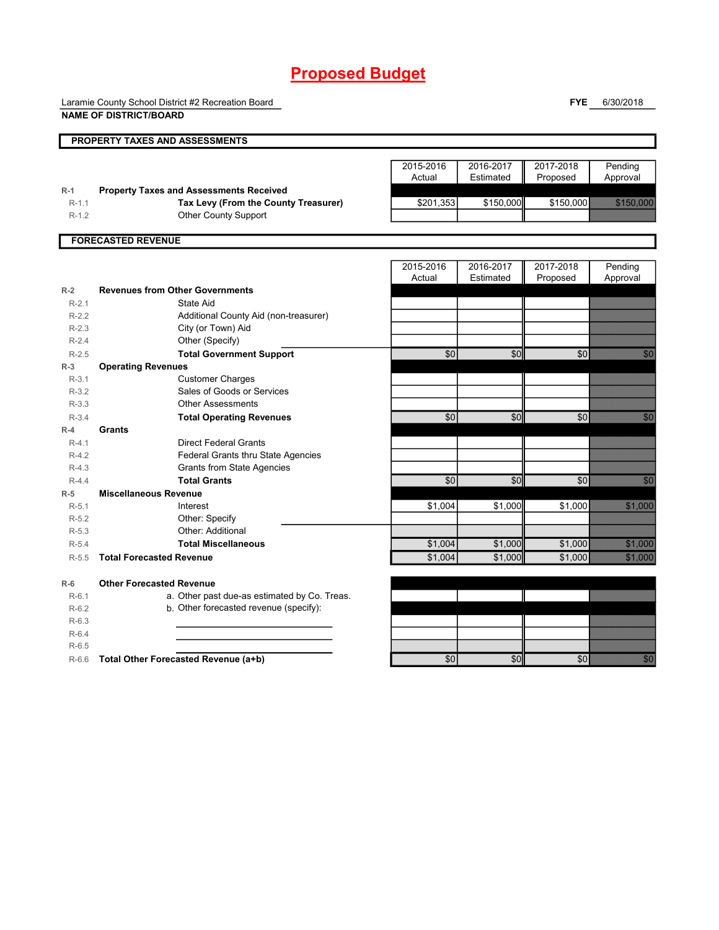Laramie County School District #2 Recreation Board

**NAME OF DISTRICT/BOARD**

**FYE** 6/30/2018

|                      | <b>PROPERTY TAXES AND ASSESSMENTS</b>                 |           |           |           |                     |  |
|----------------------|-------------------------------------------------------|-----------|-----------|-----------|---------------------|--|
|                      |                                                       |           |           |           |                     |  |
|                      |                                                       | 2015-2016 | 2016-2017 | 2017-2018 | Pending             |  |
|                      |                                                       | Actual    | Estimated | Proposed  | Approval            |  |
| $R-1$                | <b>Property Taxes and Assessments Received</b>        |           |           |           |                     |  |
| $R-1.1$              | Tax Levy (From the County Treasurer)                  | \$201,353 | \$150,000 | \$150,000 | <u>STEOLOOC</u>     |  |
| $R-1.2$              | <b>Other County Support</b>                           |           |           |           |                     |  |
|                      |                                                       |           |           |           |                     |  |
|                      | <b>FORECASTED REVENUE</b>                             |           |           |           |                     |  |
|                      |                                                       |           |           |           |                     |  |
|                      |                                                       | 2015-2016 | 2016-2017 | 2017-2018 | Pending             |  |
|                      |                                                       | Actual    | Estimated | Proposed  | Approval            |  |
| $R-2$                | <b>Revenues from Other Governments</b>                |           |           |           |                     |  |
| $R-2.1$              | State Aid                                             |           |           |           |                     |  |
| $R-2.2$              | Additional County Aid (non-treasurer)                 |           |           |           |                     |  |
| $R-2.3$              | City (or Town) Aid                                    |           |           |           |                     |  |
| $R-2.4$              | Other (Specify)                                       |           |           |           |                     |  |
| $R-2.5$              | <b>Total Government Support</b>                       | \$0       | \$0       | \$0       |                     |  |
| $R-3$<br>$R-3.1$     | <b>Operating Revenues</b>                             |           |           |           |                     |  |
| $R-3.2$              | <b>Customer Charges</b><br>Sales of Goods or Services |           |           |           |                     |  |
|                      | <b>Other Assessments</b>                              |           |           |           |                     |  |
| $R-3.3$<br>$R - 3.4$ |                                                       | \$0       | \$0       | \$0       | en eller<br>Bernard |  |
| $R-4$                | <b>Total Operating Revenues</b><br>Grants             |           |           |           |                     |  |
| $R-4.1$              | <b>Direct Federal Grants</b>                          |           |           |           |                     |  |
| $R-4.2$              | <b>Federal Grants thru State Agencies</b>             |           |           |           |                     |  |
| $R-4.3$              | <b>Grants from State Agencies</b>                     |           |           |           |                     |  |
| $R-4.4$              | <b>Total Grants</b>                                   | \$0       | \$0       | \$0       | en en de la         |  |
| $R-5$                | <b>Miscellaneous Revenue</b>                          |           |           |           |                     |  |
| $R-5.1$              | Interest                                              | \$1,004   | \$1,000   | \$1,000   |                     |  |
| $R-5.2$              | Other: Specify                                        |           |           |           |                     |  |
| $R-5.3$              | Other: Additional                                     |           |           |           |                     |  |
| $R-5.4$              | <b>Total Miscellaneous</b>                            | \$1,004   | \$1,000   | \$1,000   | 57. 888             |  |
| $R-5.5$              | <b>Total Forecasted Revenue</b>                       | \$1,004   | \$1,000   | \$1,000   |                     |  |
| $R-6$                | <b>Other Forecasted Revenue</b>                       |           |           |           |                     |  |
| $R-6.1$              | a. Other past due-as estimated by Co. Treas.          |           |           |           |                     |  |
| $R-6.2$              | b. Other forecasted revenue (specify):                |           |           |           |                     |  |
| $R-6.3$              |                                                       |           |           |           |                     |  |
| $R-6.4$              |                                                       |           |           |           |                     |  |
| $R-6.5$              |                                                       |           |           |           |                     |  |
| $R-6.6$              | Total Other Forecasted Revenue (a+b)                  | \$0       | \$0       | \$0       | en<br>Alberta       |  |
|                      |                                                       |           |           |           |                     |  |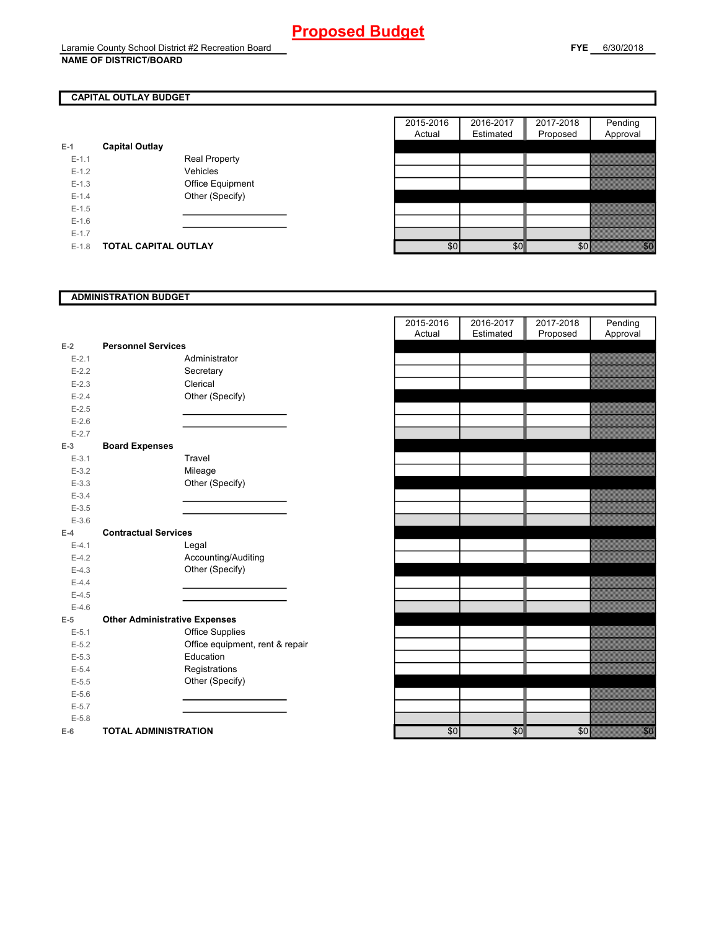### **CAPITAL OUTLAY BUDGET**

| E-1     | <b>Capital Outlay</b>       |                         |
|---------|-----------------------------|-------------------------|
| $F-11$  |                             | <b>Real Property</b>    |
| $F-12$  |                             | Vehicles                |
| $F-1.3$ |                             | <b>Office Equipment</b> |
| $F-14$  |                             | Other (Specify)         |
| $F-1.5$ |                             |                         |
| $F-16$  |                             |                         |
| $F-17$  |                             |                         |
| $F-1.8$ | <b>TOTAL CAPITAL OUTLAY</b> |                         |

|         |                       |                      | 2015-2016 | 2016-2017 | 2017-2018 | Pending                                                                                                                                                                                                                         |
|---------|-----------------------|----------------------|-----------|-----------|-----------|---------------------------------------------------------------------------------------------------------------------------------------------------------------------------------------------------------------------------------|
|         |                       |                      | Actual    | Estimated | Proposed  | Approval                                                                                                                                                                                                                        |
|         | <b>Capital Outlay</b> |                      |           |           |           |                                                                                                                                                                                                                                 |
| $E-1.1$ |                       | <b>Real Property</b> |           |           |           |                                                                                                                                                                                                                                 |
| $E-1.2$ |                       | Vehicles             |           |           |           |                                                                                                                                                                                                                                 |
| $E-1.3$ |                       | Office Equipment     |           |           |           |                                                                                                                                                                                                                                 |
| $E-1.4$ |                       | Other (Specify)      |           |           |           |                                                                                                                                                                                                                                 |
| $E-1.5$ |                       |                      |           |           |           |                                                                                                                                                                                                                                 |
| $E-1.6$ |                       |                      |           |           |           |                                                                                                                                                                                                                                 |
| $E-1.7$ |                       |                      |           |           |           |                                                                                                                                                                                                                                 |
| $E-1.8$ | TOTAL CAPITAL OUTLAY  |                      | \$0       | \$0       | \$0       | en en de la familie de la familie de la familie de la familie de la familie de la familie de la familie de la<br>Constitution de la familie de la familie de la familie de la familie de la familie de la familie de la familie |

#### **ADMINISTRATION BUDGET**

| $E-2$     | <b>Personnel Services</b>            |                                 |
|-----------|--------------------------------------|---------------------------------|
| $E - 2.1$ |                                      | Administrator                   |
| $E - 2.2$ |                                      | Secretary                       |
| $E - 2.3$ |                                      | Clerical                        |
| $E - 2.4$ |                                      | Other (Specify)                 |
| $E - 2.5$ |                                      |                                 |
| $E-2.6$   |                                      |                                 |
| $E - 2.7$ |                                      |                                 |
| $E-3$     | <b>Board Expenses</b>                |                                 |
| $E - 3.1$ |                                      | Travel                          |
| $E - 3.2$ |                                      | Mileage                         |
| $E - 3.3$ |                                      | Other (Specify)                 |
| $E - 3.4$ |                                      |                                 |
| $E - 3.5$ |                                      |                                 |
| $E - 3.6$ |                                      |                                 |
| $E-4$     | <b>Contractual Services</b>          |                                 |
| $E - 4.1$ |                                      | Legal                           |
| $E-4.2$   |                                      | Accounting/Auditing             |
| $E-4.3$   |                                      | Other (Specify)                 |
| $E-4.4$   |                                      |                                 |
| $E-4.5$   |                                      |                                 |
| $E-4.6$   |                                      |                                 |
| $E-5$     | <b>Other Administrative Expenses</b> |                                 |
| $E - 5.1$ |                                      | <b>Office Supplies</b>          |
| $E - 5.2$ |                                      | Office equipment, rent & repair |
| $E - 5.3$ |                                      | Education                       |
| $E - 5.4$ |                                      | Registrations                   |
| $E - 5.5$ |                                      | Other (Specify)                 |
| $E - 5.6$ |                                      |                                 |
| $E - 5.7$ |                                      |                                 |
| $E - 5.8$ |                                      |                                 |
| F-6 –     | TOTAL ADMINISTRATION                 |                                 |

|           |                                      | 2015-2016<br>Actual | 2016-2017<br>Estimated | 2017-2018<br>Proposed | Pending<br>Approval |
|-----------|--------------------------------------|---------------------|------------------------|-----------------------|---------------------|
| $E-2$     | <b>Personnel Services</b>            |                     |                        |                       |                     |
| $E - 2.1$ | Administrator                        |                     |                        |                       |                     |
| $E-2.2$   | Secretary                            |                     |                        |                       |                     |
| $E - 2.3$ | Clerical                             |                     |                        |                       |                     |
| $E-2.4$   | Other (Specify)                      |                     |                        |                       |                     |
| $E - 2.5$ |                                      |                     |                        |                       |                     |
| $E-2.6$   |                                      |                     |                        |                       |                     |
| $E - 2.7$ |                                      |                     |                        |                       |                     |
| $E-3$     | <b>Board Expenses</b>                |                     |                        |                       |                     |
| $E-3.1$   | Travel                               |                     |                        |                       |                     |
| $E - 3.2$ | Mileage                              |                     |                        |                       |                     |
| $E - 3.3$ | Other (Specify)                      |                     |                        |                       |                     |
| $E - 3.4$ |                                      |                     |                        |                       |                     |
| $E-3.5$   |                                      |                     |                        |                       |                     |
| $E - 3.6$ |                                      |                     |                        |                       |                     |
| $E-4$     | <b>Contractual Services</b>          |                     |                        |                       |                     |
| $E - 4.1$ | Legal                                |                     |                        |                       |                     |
| $E-4.2$   | Accounting/Auditing                  |                     |                        |                       |                     |
| $E - 4.3$ | Other (Specify)                      |                     |                        |                       |                     |
| $E-4.4$   |                                      |                     |                        |                       |                     |
| $E-4.5$   |                                      |                     |                        |                       |                     |
| $E-4.6$   |                                      |                     |                        |                       |                     |
| $E-5$     | <b>Other Administrative Expenses</b> |                     |                        |                       |                     |
| $E-5.1$   | <b>Office Supplies</b>               |                     |                        |                       |                     |
| $E-5.2$   | Office equipment, rent & repair      |                     |                        |                       |                     |
| $E-5.3$   | Education                            |                     |                        |                       |                     |
| $E - 5.4$ | Registrations                        |                     |                        |                       |                     |
| $E-5.5$   | Other (Specify)                      |                     |                        |                       |                     |
| $E-5.6$   |                                      |                     |                        |                       |                     |
| $E - 5.7$ |                                      |                     |                        |                       |                     |
| $E - 5.8$ |                                      |                     |                        |                       |                     |
| $E-6$     | <b>TOTAL ADMINISTRATION</b>          | \$0                 | \$0                    | \$0                   |                     |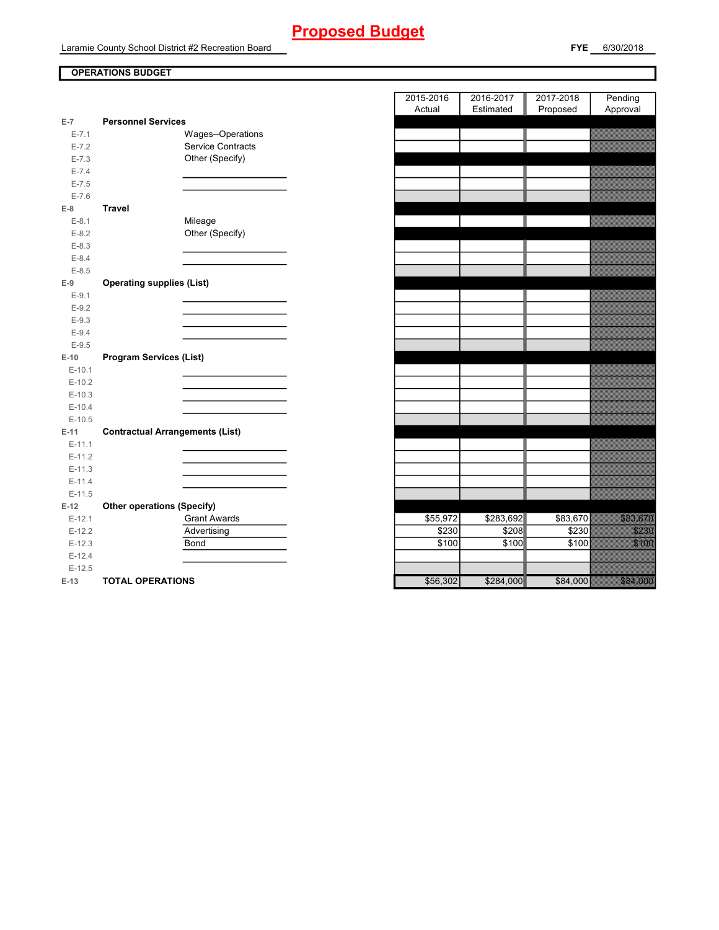Laramie County School District #2 Recreation Board

### **OPERATIONS BUDGET**

| $E-7$     | <b>Personnel Services</b>              |
|-----------|----------------------------------------|
| $E - 7.1$ | Wages--Operations                      |
| $E - 7.2$ | <b>Service Contracts</b>               |
| $E - 7.3$ | Other (Specify)                        |
| $E - 7.4$ |                                        |
| $E - 7.5$ |                                        |
| $E - 7.6$ |                                        |
| $E-8$     | <b>Travel</b>                          |
| $E-8.1$   | Mileage                                |
| $E-8.2$   | Other (Specify)                        |
| $E - 8.3$ |                                        |
| $E-8.4$   |                                        |
| $E-8.5$   |                                        |
| $E-9$     | <b>Operating supplies (List)</b>       |
| $E-9.1$   |                                        |
| $E-9.2$   |                                        |
| $E-9.3$   |                                        |
| $E-9.4$   |                                        |
| $E-9.5$   |                                        |
| $E-10$    | <b>Program Services (List)</b>         |
| $E-10.1$  |                                        |
| $E-10.2$  |                                        |
| $E-10.3$  |                                        |
| $E-10.4$  |                                        |
| $E-10.5$  |                                        |
| $E-11$    | <b>Contractual Arrangements (List)</b> |
| $E-11.1$  |                                        |
| $E-11.2$  |                                        |
| $E-11.3$  |                                        |
| $E-11.4$  |                                        |
| $E-11.5$  |                                        |
| $E-12$    | <b>Other operations (Specify)</b>      |
| $E-12.1$  | <b>Grant Awards</b>                    |
| $E-12.2$  | Advertising                            |
| $E-12.3$  | Bond                                   |
| $E-12.4$  |                                        |
| $E-12.5$  |                                        |
| $E-13$    | <b>TOTAL OPERATIONS</b>                |

|                 |                                        | 2015-2016<br>Actual | 2016-2017<br>Estimated | 2017-2018<br>Proposed | Pending<br>Approval |
|-----------------|----------------------------------------|---------------------|------------------------|-----------------------|---------------------|
| $\overline{7}$  | <b>Personnel Services</b>              |                     |                        |                       |                     |
| $E - 7.1$       | Wages--Operations                      |                     |                        |                       |                     |
| $E - 7.2$       | Service Contracts                      |                     |                        |                       |                     |
| $E - 7.3$       | Other (Specify)                        |                     |                        |                       |                     |
| $E - 7.4$       |                                        |                     |                        |                       |                     |
| $E - 7.5$       |                                        |                     |                        |                       |                     |
| $E - 7.6$       |                                        |                     |                        |                       |                     |
| 8               | Travel                                 |                     |                        |                       |                     |
| $E-8.1$         | Mileage                                |                     |                        |                       |                     |
| $E-8.2$         | Other (Specify)                        |                     |                        |                       |                     |
| $E-8.3$         |                                        |                     |                        |                       |                     |
| $E - 8.4$       |                                        |                     |                        |                       |                     |
| $E-8.5$         |                                        |                     |                        |                       |                     |
| 9               | <b>Operating supplies (List)</b>       |                     |                        |                       |                     |
| $E-9.1$         |                                        |                     |                        |                       |                     |
| $E-9.2$         |                                        |                     |                        |                       |                     |
| $E-9.3$         |                                        |                     |                        |                       |                     |
| $E-9.4$         |                                        |                     |                        |                       |                     |
| $E-9.5$         |                                        |                     |                        |                       |                     |
| 10 <sub>1</sub> | <b>Program Services (List)</b>         |                     |                        |                       |                     |
| $E-10.1$        |                                        |                     |                        |                       |                     |
| $E-10.2$        |                                        |                     |                        |                       |                     |
| $E-10.3$        |                                        |                     |                        |                       |                     |
| $E-10.4$        |                                        |                     |                        |                       |                     |
| $E-10.5$        |                                        |                     |                        |                       |                     |
| $11 -$          | <b>Contractual Arrangements (List)</b> |                     |                        |                       |                     |
| $E-11.1$        |                                        |                     |                        |                       |                     |
| $E-11.2$        |                                        |                     |                        |                       |                     |
| $E-11.3$        |                                        |                     |                        |                       |                     |
| $E-11.4$        |                                        |                     |                        |                       |                     |
| $E-11.5$        |                                        |                     |                        |                       |                     |
| 12              | <b>Other operations (Specify)</b>      |                     |                        |                       |                     |
| $E-12.1$        | <b>Grant Awards</b>                    | \$55,972            | \$283,692              | \$83,670              |                     |
| $E-12.2$        | Advertising                            | \$230               | \$208                  | \$230                 | <u>SZZSZ</u>        |
| $E-12.3$        | Bond                                   | \$100               | \$100                  | \$100                 |                     |
| $E-12.4$        |                                        |                     |                        |                       |                     |
| $E-12.5$        |                                        |                     |                        |                       | a a chun ann        |
| 13              | <b>TOTAL OPERATIONS</b>                | \$56.302            | \$284,000              | \$84,000              |                     |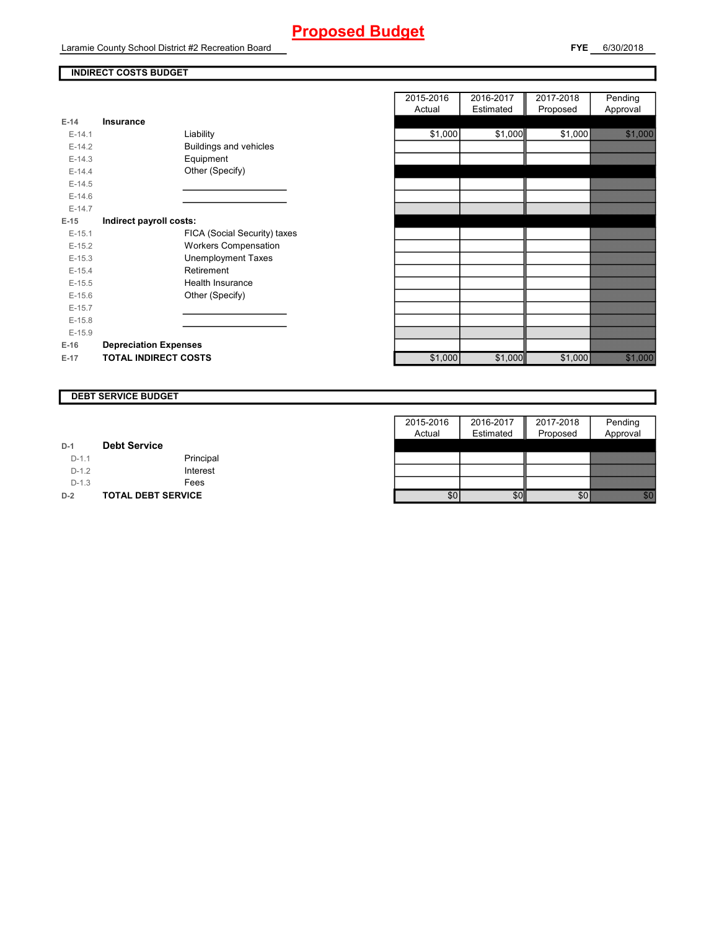Laramie County School District #2 Recreation Board

#### **INDIRECT COSTS BUDGET**

| E-14     | Insurance                    |                               |
|----------|------------------------------|-------------------------------|
| $F-14.1$ | Liability                    |                               |
| $F-142$  |                              | <b>Buildings and vehicles</b> |
| $E-14.3$ |                              | Equipment                     |
| $F-144$  |                              | Other (Specify)               |
| $F-14.5$ |                              |                               |
| $E-14.6$ |                              |                               |
| $F-147$  |                              |                               |
| $E-15$   | Indirect payroll costs:      |                               |
| $E-15.1$ |                              | FICA (Social Security) taxes  |
| $F-152$  |                              | <b>Workers Compensation</b>   |
| $E-15.3$ |                              | Unemployment Taxes            |
| $F-154$  |                              | Retirement                    |
| $F-15.5$ |                              | Health Insurance              |
| $E-15.6$ |                              | Other (Specify)               |
| $E-15.7$ |                              |                               |
| $F-15.8$ |                              |                               |
| $E-15.9$ |                              |                               |
| $E-16$   | <b>Depreciation Expenses</b> |                               |
| E-17     | <b>TOTAL INDIRECT COSTS</b>  |                               |

|          |                              | 2015-2016 | 2016-2017 | 2017-2018 | Pending                |
|----------|------------------------------|-----------|-----------|-----------|------------------------|
|          |                              | Actual    | Estimated | Proposed  | Approval               |
| $E-14$   | <b>Insurance</b>             |           |           |           |                        |
| $E-14.1$ | Liability                    | \$1,000   | \$1,000   | \$1,000   |                        |
| $E-14.2$ | Buildings and vehicles       |           |           |           |                        |
| $E-14.3$ | Equipment                    |           |           |           |                        |
| $E-14.4$ | Other (Specify)              |           |           |           |                        |
| $E-14.5$ |                              |           |           |           |                        |
| $E-14.6$ |                              |           |           |           |                        |
| $E-14.7$ |                              |           |           |           |                        |
| $E-15$   | Indirect payroll costs:      |           |           |           |                        |
| $E-15.1$ | FICA (Social Security) taxes |           |           |           |                        |
| $E-15.2$ | <b>Workers Compensation</b>  |           |           |           |                        |
| $E-15.3$ | <b>Unemployment Taxes</b>    |           |           |           |                        |
| $E-15.4$ | Retirement                   |           |           |           |                        |
| $E-15.5$ | Health Insurance             |           |           |           |                        |
| $E-15.6$ | Other (Specify)              |           |           |           |                        |
| $E-15.7$ |                              |           |           |           |                        |
| $E-15.8$ |                              |           |           |           |                        |
| $E-15.9$ |                              |           |           |           |                        |
| $E-16$   | <b>Depreciation Expenses</b> |           |           |           |                        |
| $E-17$   | <b>TOTAL INDIRECT COSTS</b>  | \$1,000   | \$1,000   | \$1,000   | <u>e de la constru</u> |
|          |                              |           |           |           |                        |

#### **DEBT SERVICE BUDGET**

|         |                           | 2015-2016 | 2016-2017 | 2017-2018 | Pending  |
|---------|---------------------------|-----------|-----------|-----------|----------|
|         |                           | Actual    | Estimated | Proposed  | Approval |
| $D-1$   | <b>Debt Service</b>       |           |           |           |          |
| $D-1.1$ | Principal                 |           |           |           |          |
| $D-1.2$ | Interest                  |           |           |           |          |
| $D-1.3$ | Fees                      |           |           |           |          |
| $D-2$   | <b>TOTAL DEBT SERVICE</b> | \$0       | \$0       |           |          |